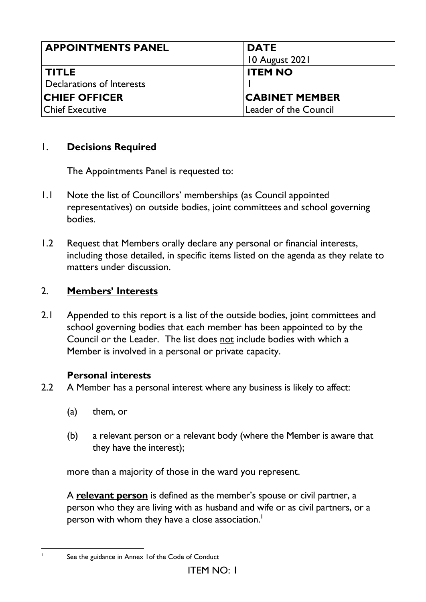| <b>APPOINTMENTS PANEL</b> | <b>DATE</b><br>10 August 2021 |
|---------------------------|-------------------------------|
| <b>TITLE</b>              | <b>ITEM NO</b>                |
| Declarations of Interests |                               |
| <b>CHIEF OFFICER</b>      | <b>CABINET MEMBER</b>         |
| Chief Executive           | Leader of the Council         |

## 1. **Decisions Required**

The Appointments Panel is requested to:

- 1.1 Note the list of Councillors' memberships (as Council appointed representatives) on outside bodies, joint committees and school governing bodies.
- 1.2 Request that Members orally declare any personal or financial interests, including those detailed, in specific items listed on the agenda as they relate to matters under discussion.

# 2. **Members' Interests**

2.1 Appended to this report is a list of the outside bodies, joint committees and school governing bodies that each member has been appointed to by the Council or the Leader. The list does not include bodies with which a Member is involved in a personal or private capacity.

## **Personal interests**

- 2.2 A Member has a personal interest where any business is likely to affect:
	- (a) them, or

1

(b) a relevant person or a relevant body (where the Member is aware that they have the interest);

more than a majority of those in the ward you represent.

A **relevant person** is defined as the member's spouse or civil partner, a person who they are living with as husband and wife or as civil partners, or a person with whom they have a close association.<sup>1</sup>

See the guidance in Annex 1of the Code of Conduct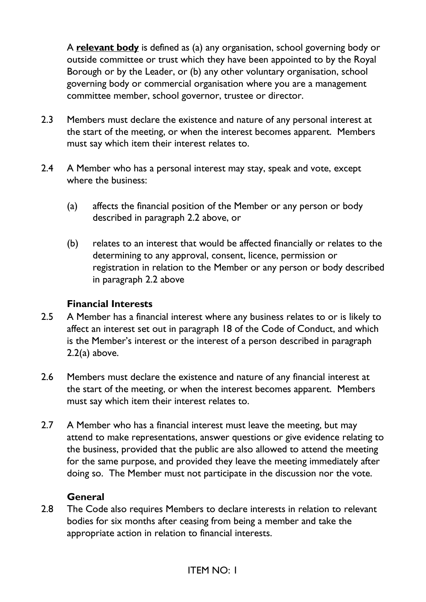A **relevant body** is defined as (a) any organisation, school governing body or outside committee or trust which they have been appointed to by the Royal Borough or by the Leader, or (b) any other voluntary organisation, school governing body or commercial organisation where you are a management committee member, school governor, trustee or director.

- 2.3 Members must declare the existence and nature of any personal interest at the start of the meeting, or when the interest becomes apparent. Members must say which item their interest relates to.
- 2.4 A Member who has a personal interest may stay, speak and vote, except where the business:
	- (a) affects the financial position of the Member or any person or body described in paragraph 2.2 above, or
	- (b) relates to an interest that would be affected financially or relates to the determining to any approval, consent, licence, permission or registration in relation to the Member or any person or body described in paragraph 2.2 above

## **Financial Interests**

- 2.5 A Member has a financial interest where any business relates to or is likely to affect an interest set out in paragraph 18 of the Code of Conduct, and which is the Member's interest or the interest of a person described in paragraph 2.2(a) above.
- 2.6 Members must declare the existence and nature of any financial interest at the start of the meeting, or when the interest becomes apparent. Members must say which item their interest relates to.
- 2.7 A Member who has a financial interest must leave the meeting, but may attend to make representations, answer questions or give evidence relating to the business, provided that the public are also allowed to attend the meeting for the same purpose, and provided they leave the meeting immediately after doing so. The Member must not participate in the discussion nor the vote.

## **General**

2.8 The Code also requires Members to declare interests in relation to relevant bodies for six months after ceasing from being a member and take the appropriate action in relation to financial interests.